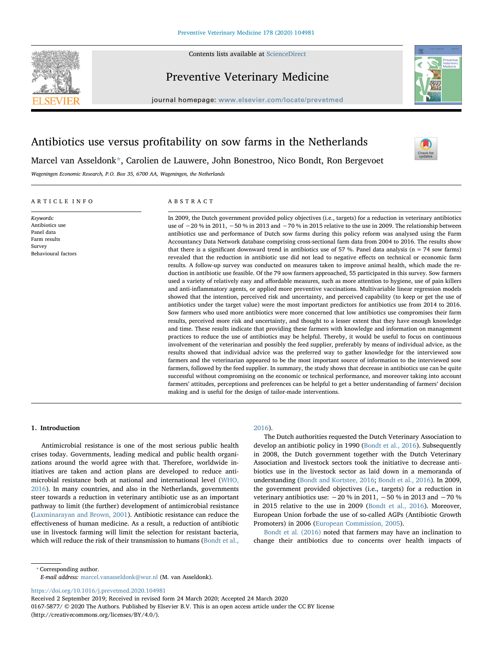

Contents lists available at [ScienceDirect](http://www.sciencedirect.com/science/journal/01675877)

# Preventive Veterinary Medicine

journal homepage: [www.elsevier.com/locate/prevetmed](https://www.elsevier.com/locate/prevetmed)



 $\frac{N}{2}$ 

# Antibiotics use versus profitability on sow farms in the Netherlands

Marcel van Asseldonk[\\*](#page-0-0), Carolien de Lauwere, John Bonestroo, Nico Bondt, Ron Bergevoet

Wageningen Economic Research, P.O. Box 35, 6700 AA, Wageningen, the Netherlands

# ARTICLE INFO

Keywords: Antibiotics use Panel data Farm results Survey Behavioural factors

# ABSTRACT

In 2009, the Dutch government provided policy objectives (i.e., targets) for a reduction in veterinary antibiotics use of −20 % in 2011, −50 % in 2013 and −70 % in 2015 relative to the use in 2009. The relationship between antibiotics use and performance of Dutch sow farms during this policy reform was analysed using the Farm Accountancy Data Network database comprising cross-sectional farm data from 2004 to 2016. The results show that there is a significant downward trend in antibiotics use of 57 %. Panel data analysis ( $n = 74$  sow farms) revealed that the reduction in antibiotic use did not lead to negative effects on technical or economic farm results. A follow-up survey was conducted on measures taken to improve animal health, which made the reduction in antibiotic use feasible. Of the 79 sow farmers approached, 55 participated in this survey. Sow farmers used a variety of relatively easy and affordable measures, such as more attention to hygiene, use of pain killers and anti-inflammatory agents, or applied more preventive vaccinations. Multivariable linear regression models showed that the intention, perceived risk and uncertainty, and perceived capability (to keep or get the use of antibiotics under the target value) were the most important predictors for antibiotics use from 2014 to 2016. Sow farmers who used more antibiotics were more concerned that low antibiotics use compromises their farm results, perceived more risk and uncertainty, and thought to a lesser extent that they have enough knowledge and time. These results indicate that providing these farmers with knowledge and information on management practices to reduce the use of antibiotics may be helpful. Thereby, it would be useful to focus on continuous involvement of the veterinarian and possibly the feed supplier, preferably by means of individual advice, as the results showed that individual advice was the preferred way to gather knowledge for the interviewed sow farmers and the veterinarian appeared to be the most important source of information to the interviewed sow farmers, followed by the feed supplier. In summary, the study shows that decrease in antibiotics use can be quite successful without compromising on the economic or technical performance, and moreover taking into account farmers' attitudes, perceptions and preferences can be helpful to get a better understanding of farmers' decision making and is useful for the design of tailor-made interventions.

# 1. Introduction

Antimicrobial resistance is one of the most serious public health crises today. Governments, leading medical and public health organizations around the world agree with that. Therefore, worldwide initiatives are taken and action plans are developed to reduce antimicrobial resistance both at national and international level [\(WHO,](#page-7-0) [2016\)](#page-7-0). In many countries, and also in the Netherlands, governments steer towards a reduction in veterinary antibiotic use as an important pathway to limit (the further) development of antimicrobial resistance ([Laxminarayan and Brown, 2001](#page-7-1)). Antibiotic resistance can reduce the effectiveness of human medicine. As a result, a reduction of antibiotic use in livestock farming will limit the selection for resistant bacteria, which will reduce the risk of their transmission to humans [\(Bondt et al.,](#page-7-2)

# [2016\)](#page-7-2).

The Dutch authorities requested the Dutch Veterinary Association to develop an antibiotic policy in 1990 ([Bondt et al., 2016](#page-7-2)). Subsequently in 2008, the Dutch government together with the Dutch Veterinary Association and livestock sectors took the initiative to decrease antibiotics use in the livestock sector as laid down in a memoranda of understanding ([Bondt and Kortstee, 2016;](#page-6-0) [Bondt et al., 2016](#page-7-2)). In 2009, the government provided objectives (i.e., targets) for a reduction in veterinary antibiotics use: −20 % in 2011, −50 % in 2013 and −70 % in 2015 relative to the use in 2009 [\(Bondt et al., 2016\)](#page-7-2). Moreover, European Union forbade the use of so-called AGPs (Antibiotic Growth Promoters) in 2006 ([European Commission, 2005](#page-7-3)).

[Bondt et al. \(2016\)](#page-7-2) noted that farmers may have an inclination to change their antibiotics due to concerns over health impacts of

<span id="page-0-0"></span>⁎ Corresponding author.

<https://doi.org/10.1016/j.prevetmed.2020.104981>

Received 2 September 2019; Received in revised form 24 March 2020; Accepted 24 March 2020

0167-5877/ © 2020 The Authors. Published by Elsevier B.V. This is an open access article under the CC BY license (http://creativecommons.org/licenses/BY/4.0/).

E-mail address: [marcel.vanasseldonk@wur.nl](mailto:marcel.vanasseldonk@wur.nl) (M. van Asseldonk).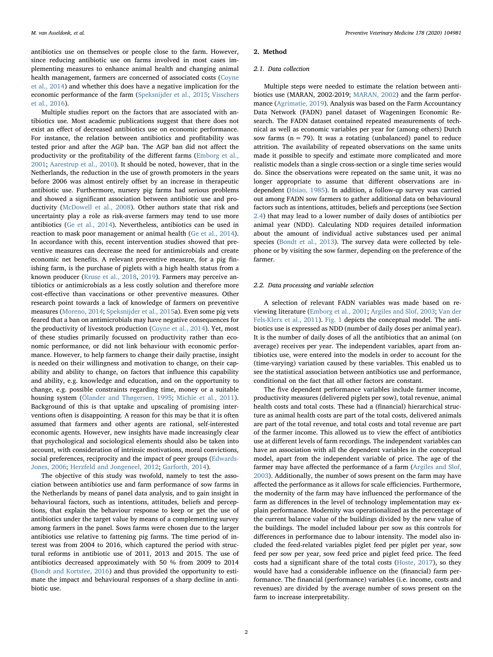antibiotics use on themselves or people close to the farm. However, since reducing antibiotic use on farms involved in most cases implementing measures to enhance animal health and changing animal health management, farmers are concerned of associated costs ([Coyne](#page-7-4) [et al., 2014](#page-7-4)) and whether this does have a negative implication for the economic performance of the farm ([Speksnijder et al., 2015](#page-7-5); [Visschers](#page-7-6) [et al., 2016](#page-7-6)).

Multiple studies report on the factors that are associated with antibiotics use. Most academic publications suggest that there does not exist an effect of decreased antibiotics use on economic performance. For instance, the relation between antibiotics and profitability was tested prior and after the AGP ban. The AGP ban did not affect the productivity or the profitability of the different farms ([Emborg et al.,](#page-7-7) [2001;](#page-7-7) [Aarestrup et al., 2010](#page-6-1)). It should be noted, however, that in the Netherlands, the reduction in the use of growth promoters in the years before 2006 was almost entirely offset by an increase in therapeutic antibiotic use. Furthermore, nursery pig farms had serious problems and showed a significant association between antibiotic use and productivity ([McDowell et al., 2008\)](#page-7-8). Other authors state that risk and uncertainty play a role as risk-averse farmers may tend to use more antibiotics ([Ge et al., 2014\)](#page-7-9). Nevertheless, antibiotics can be used in reaction to mask poor management or animal health ([Ge et al., 2014](#page-7-9)). In accordance with this, recent intervention studies showed that preventive measures can decrease the need for antimicrobials and create economic net benefits. A relevant preventive measure, for a pig finishing farm, is the purchase of piglets with a high health status from a known producer ([Kruse et al., 2018](#page-7-10), [2019](#page-7-11)). Farmers may perceive antibiotics or antimicrobials as a less costly solution and therefore more cost-effective than vaccinations or other preventive measures. Other research point towards a lack of knowledge of farmers on preventive measures [\(Moreno, 2014;](#page-7-12) [Speksnijder et al., 2015a](#page-7-5)). Even some pig vets feared that a ban on antimicrobials may have negative consequences for the productivity of livestock production ([Coyne et al., 2014\)](#page-7-4). Yet, most of these studies primarily focussed on productivity rather than economic performance, or did not link behaviour with economic performance. However, to help farmers to change their daily practise, insight is needed on their willingness and motivation to change, on their capability and ability to change, on factors that influence this capability and ability, e.g. knowledge and education, and on the opportunity to change, e.g. possible constraints regarding time, money or a suitable housing system [\(Ölander and Thøgersen, 1995;](#page-7-13) [Michie et al., 2011](#page-7-14)). Background of this is that uptake and upscaling of promising interventions often is disappointing. A reason for this may be that it is often assumed that farmers and other agents are rational, self-interested economic agents. However, new insights have made increasingly clear that psychological and sociological elements should also be taken into account, with consideration of intrinsic motivations, moral convictions, social preferences, reciprocity and the impact of peer groups ([Edwards-](#page-7-15)[Jones, 2006](#page-7-15); Herzfeld [and Jongeneel, 2012;](#page-7-16) [Garforth, 2014\)](#page-7-17).

The objective of this study was twofold, namely to test the association between antibiotics use and farm performance of sow farms in the Netherlands by means of panel data analysis, and to gain insight in behavioural factors, such as intentions, attitudes, beliefs and perceptions, that explain the behaviour response to keep or get the use of antibiotics under the target value by means of a complementing survey among farmers in the panel. Sows farms were chosen due to the larger antibiotics use relative to fattening pig farms. The time period of interest was from 2004 to 2016, which captured the period with structural reforms in antibiotic use of 2011, 2013 and 2015. The use of antibiotics decreased approximately with 50 % from 2009 to 2014 ([Bondt and Kortstee, 2016\)](#page-6-0) and thus provided the opportunity to estimate the impact and behavioural responses of a sharp decline in antibiotic use.

#### 2. Method

#### 2.1. Data collection

Multiple steps were needed to estimate the relation between antibiotics use (MARAN, 2002-2019; [MARAN, 2002\)](#page-7-18) and the farm performance ([Agrimatie, 2019\)](#page-6-2). Analysis was based on the Farm Accountancy Data Network (FADN) panel dataset of Wageningen Economic Research. The FADN dataset contained repeated measurements of technical as well as economic variables per year for (among others) Dutch sow farms  $(n = 79)$ . It was a rotating (unbalanced) panel to reduce attrition. The availability of repeated observations on the same units made it possible to specify and estimate more complicated and more realistic models than a single cross-section or a single time series would do. Since the observations were repeated on the same unit, it was no longer appropriate to assume that different observations are independent ([Hsiao, 1985\)](#page-7-19). In addition, a follow-up survey was carried out among FADN sow farmers to gather additional data on behavioural factors such as intentions, attitudes, beliefs and perceptions (see Section [2.4\)](#page-2-0) that may lead to a lower number of daily doses of antibiotics per animal year (NDD). Calculating NDD requires detailed information about the amount of individual active substances used per animal species ([Bondt et al., 2013](#page-6-3)). The survey data were collected by telephone or by visiting the sow farmer, depending on the preference of the farmer.

#### 2.2. Data processing and variable selection

A selection of relevant FADN variables was made based on reviewing literature ([Emborg et al., 2001;](#page-7-7) [Argiles and Slof, 2003;](#page-6-4) [Van der](#page-7-20) [Fels-Klerx et al., 2011](#page-7-20)). [Fig. 1](#page-2-1) depicts the conceptual model. The antibiotics use is expressed as NDD (number of daily doses per animal year). It is the number of daily doses of all the antibiotics that an animal (on average) receives per year. The independent variables, apart from antibiotics use, were entered into the models in order to account for the (time-varying) variation caused by these variables. This enabled us to see the statistical association between antibiotics use and performance, conditional on the fact that all other factors are constant.

The five dependent performance variables include farmer income, productivity measures (delivered piglets per sow), total revenue, animal health costs and total costs. These had a (financial) hierarchical structure as animal health costs are part of the total costs, delivered animals are part of the total revenue, and total costs and total revenue are part of the farmer income. This allowed us to view the effect of antibiotics use at different levels of farm recordings. The independent variables can have an association with all the dependent variables in the conceptual model, apart from the independent variable of price. The age of the farmer may have affected the performance of a farm [\(Argiles and Slof,](#page-6-4) [2003\)](#page-6-4). Additionally, the number of sows present on the farm may have affected the performance as it allows for scale efficiencies. Furthermore, the modernity of the farm may have influenced the performance of the farm as differences in the level of technology implementation may explain performance. Modernity was operationalized as the percentage of the current balance value of the buildings divided by the new value of the buildings. The model included labour per sow as this controls for differences in performance due to labour intensity. The model also included the feed-related variables piglet feed per piglet per year, sow feed per sow per year, sow feed price and piglet feed price. The feed costs had a significant share of the total costs ([Hoste, 2017](#page-7-21)), so they would have had a considerable influence on the (financial) farm performance. The financial (performance) variables (i.e. income, costs and revenues) are divided by the average number of sows present on the farm to increase interpretability.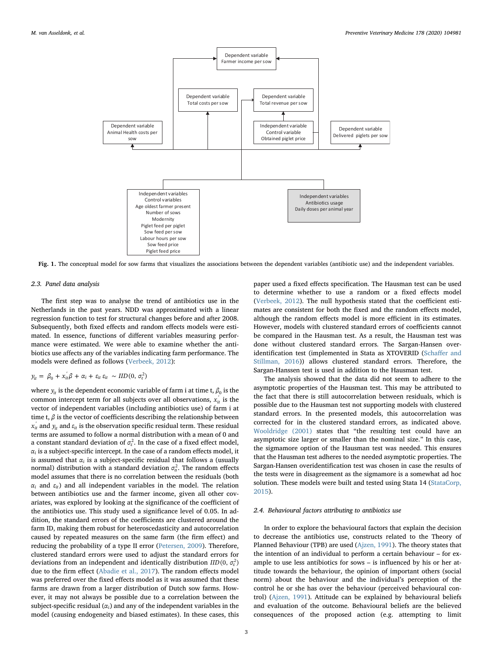<span id="page-2-1"></span>

Fig. 1. The conceptual model for sow farms that visualizes the associations between the dependent variables (antibiotic use) and the independent variables.

# 2.3. Panel data analysis

The first step was to analyse the trend of antibiotics use in the Netherlands in the past years. NDD was approximated with a linear regression function to test for structural changes before and after 2008. Subsequently, both fixed effects and random effects models were estimated. In essence, functions of different variables measuring performance were estimated. We were able to examine whether the antibiotics use affects any of the variables indicating farm performance. The models were defined as follows [\(Verbeek, 2012\)](#page-7-22):

# $y_{it} = \beta_0 + x_{it} \beta + \alpha_i + \varepsilon_{it} \varepsilon_{it} \sim IID(0, \sigma_{\varepsilon}^2)$

where  $y_{it}$  is the dependent economic variable of farm i at time t,  $\beta_0$  is the common intercept term for all subjects over all observations,  $x'_{it}$  is the vector of independent variables (including antibiotics use) of farm i at time t, *β* is the vector of coefficients describing the relationship between  $x'_{it}$  and  $y_{it}$  and  $\varepsilon_{it}$  is the observation specific residual term. These residual terms are assumed to follow a normal distribution with a mean of 0 and a constant standard deviation of  $\sigma_{\varepsilon}^2$ . In the case of a fixed effect model,  $\alpha_i$  is a subject-specific intercept. In the case of a random effects model, it is assumed that  $\alpha_i$  is a subject-specific residual that follows a (usually normal) distribution with a standard deviation  $\sigma_{\alpha}^2$ . The random effects model assumes that there is no correlation between the residuals (both *αi* and *εit*) and all independent variables in the model. The relation between antibiotics use and the farmer income, given all other covariates, was explored by looking at the significance of the coefficient of the antibiotics use. This study used a significance level of 0.05. In addition, the standard errors of the coefficients are clustered around the farm ID, making them robust for heteroscedasticity and autocorrelation caused by repeated measures on the same farm (the firm effect) and reducing the probability of a type II error ([Petersen, 2009](#page-7-23)). Therefore, clustered standard errors were used to adjust the standard errors for deviations from an independent and identically distribution  $IID(0, \sigma_{\varepsilon}^2)$ due to the firm effect ([Abadie et al., 2017\)](#page-6-5). The random effects model was preferred over the fixed effects model as it was assumed that these farms are drawn from a larger distribution of Dutch sow farms. However, it may not always be possible due to a correlation between the subject-specific residual  $(\alpha_i)$  and any of the independent variables in the model (causing endogeneity and biased estimates). In these cases, this paper used a fixed effects specification. The Hausman test can be used to determine whether to use a random or a fixed effects model ([Verbeek, 2012](#page-7-22)). The null hypothesis stated that the coefficient estimates are consistent for both the fixed and the random effects model, although the random effects model is more efficient in its estimates. However, models with clustered standard errors of coefficients cannot be compared in the Hausman test. As a result, the Hausman test was done without clustered standard errors. The Sargan-Hansen overidentification test (implemented in Stata as XTOVERID (Schaff[er and](#page-7-24) [Stillman, 2016\)](#page-7-24)) allows clustered standard errors. Therefore, the Sargan-Hanssen test is used in addition to the Hausman test.

The analysis showed that the data did not seem to adhere to the asymptotic properties of the Hausman test. This may be attributed to the fact that there is still autocorrelation between residuals, which is possible due to the Hausman test not supporting models with clustered standard errors. In the presented models, this autocorrelation was corrected for in the clustered standard errors, as indicated above. [Wooldridge \(2001\)](#page-7-25) states that "the resulting test could have an asymptotic size larger or smaller than the nominal size." In this case, the sigmamore option of the Hausman test was needed. This ensures that the Hausman test adheres to the needed asymptotic properties. The Sargan-Hansen overidentification test was chosen in case the results of the tests were in disagreement as the sigmamore is a somewhat ad hoc solution. These models were built and tested using Stata 14 ([StataCorp,](#page-7-26) [2015\)](#page-7-26).

## <span id="page-2-0"></span>2.4. Behavioural factors attributing to antibiotics use

In order to explore the behavioural factors that explain the decision to decrease the antibiotics use, constructs related to the Theory of Planned Behaviour (TPB) are used ([Ajzen, 1991](#page-6-6)). The theory states that the intention of an individual to perform a certain behaviour – for example to use less antibiotics for sows – is influenced by his or her attitude towards the behaviour, the opinion of important others (social norm) about the behaviour and the individual's perception of the control he or she has over the behaviour (perceived behavioural control) [\(Ajzen, 1991\)](#page-6-6). Attitude can be explained by behavioural beliefs and evaluation of the outcome. Behavioural beliefs are the believed consequences of the proposed action (e.g. attempting to limit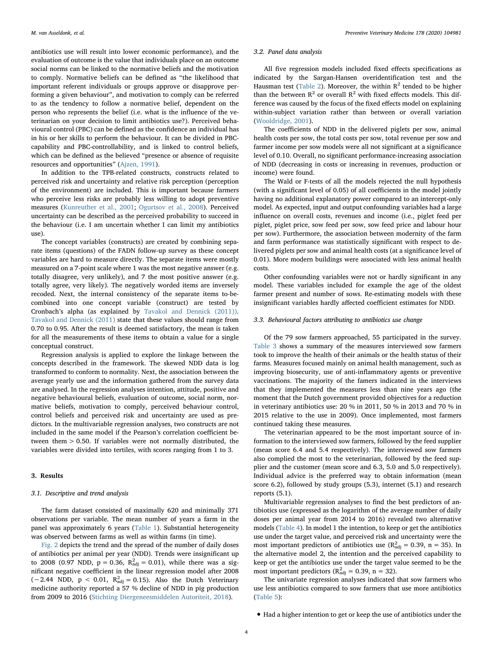antibiotics use will result into lower economic performance), and the evaluation of outcome is the value that individuals place on an outcome social norms can be linked to the normative beliefs and the motivation to comply. Normative beliefs can be defined as "the likelihood that important referent individuals or groups approve or disapprove performing a given behaviour", and motivation to comply can be referred to as the tendency to follow a normative belief, dependent on the person who represents the belief (i.e. what is the influence of the veterinarian on your decision to limit antibiotics use?). Perceived behavioural control (PBC) can be defined as the confidence an individual has in his or her skills to perform the behaviour. It can be divided in PBCcapability and PBC-controllability, and is linked to control beliefs, which can be defined as the believed "presence or absence of requisite resources and opportunities" [\(Ajzen, 1991\)](#page-6-6).

In addition to the TPB-related constructs, constructs related to perceived risk and uncertainty and relative risk perception (perception of the environment) are included. This is important because farmers who perceive less risks are probably less willing to adopt preventive measures ([Kunreuther et al., 2001](#page-7-27); [Ogurtsov et al., 2008\)](#page-7-28). Perceived uncertainty can be described as the perceived probability to succeed in the behaviour (i.e. I am uncertain whether I can limit my antibiotics use).

The concept variables (constructs) are created by combining separate items (questions) of the FADN follow-up survey as these concept variables are hard to measure directly. The separate items were mostly measured on a 7-point scale where 1 was the most negative answer (e.g. totally disagree, very unlikely), and 7 the most positive answer (e.g. totally agree, very likely). The negatively worded items are inversely recoded. Next, the internal consistency of the separate items to-becombined into one concept variable (construct) are tested by Cronbach's alpha (as explained by [Tavakol and Dennick \(2011\)\)](#page-7-29). [Tavakol and Dennick \(2011\)](#page-7-29) state that these values should range from 0.70 to 0.95. After the result is deemed satisfactory, the mean is taken for all the measurements of these items to obtain a value for a single conceptual construct.

Regression analysis is applied to explore the linkage between the concepts described in the framework. The skewed NDD data is log transformed to conform to normality. Next, the association between the average yearly use and the information gathered from the survey data are analysed. In the regression analyses intention, attitude, positive and negative behavioural beliefs, evaluation of outcome, social norm, normative beliefs, motivation to comply, perceived behaviour control, control beliefs and perceived risk and uncertainty are used as predictors. In the multivariable regression analyses, two constructs are not included in the same model if the Pearson's correlation coefficient between them > 0.50. If variables were not normally distributed, the variables were divided into tertiles, with scores ranging from 1 to 3.

#### 3. Results

# 3.1. Descriptive and trend analysis

The farm dataset consisted of maximally 620 and minimally 371 observations per variable. The mean number of years a farm in the panel was approximately 6 years ([Table 1\)](#page-4-0). Substantial heterogeneity was observed between farms as well as within farms (in time).

[Fig. 2](#page-4-1) depicts the trend and the spread of the number of daily doses of antibiotics per animal per year (NDD). Trends were insignificant up to 2008 (0.97 NDD,  $p = 0.36$ ,  $R_{\text{adj}}^2 = 0.01$ ), while there was a significant negative coefficient in the linear regression model after 2008  $(-2.44 \text{ NDD}, p < 0.01, R_{\text{adj}}^2 = 0.15)$ . Also the Dutch Veterinary medicine authority reported a 57 % decline of NDD in pig production from 2009 to 2016 ([Stichting Diergeneesmiddelen Autoriteit, 2018](#page-7-30)).

#### 3.2. Panel data analysis

All five regression models included fixed effects specifications as indicated by the Sargan-Hansen overidentification test and the Hausman test [\(Table 2\)](#page-5-0). Moreover, the within  $R^2$  tended to be higher than the between  $R^2$  or overall  $R^2$  with fixed effects models. This difference was caused by the focus of the fixed effects model on explaining within-subject variation rather than between or overall variation ([Wooldridge, 2001](#page-7-25)).

The coefficients of NDD in the delivered piglets per sow, animal health costs per sow, the total costs per sow, total revenue per sow and farmer income per sow models were all not significant at a significance level of 0.10. Overall, no significant performance-increasing association of NDD (decreasing in costs or increasing in revenues, production or income) were found.

The Wald or F-tests of all the models rejected the null hypothesis (with a significant level of 0.05) of all coefficients in the model jointly having no additional explanatory power compared to an intercept-only model. As expected, input and output confounding variables had a large influence on overall costs, revenues and income (i.e., piglet feed per piglet, piglet price, sow feed per sow, sow feed price and labour hour per sow). Furthermore, the association between modernity of the farm and farm performance was statistically significant with respect to delivered piglets per sow and animal health costs (at a significance level of 0.01). More modern buildings were associated with less animal health costs.

Other confounding variables were not or hardly significant in any model. These variables included for example the age of the oldest farmer present and number of sows. Re-estimating models with these insignificant variables hardly affected coefficient estimates for NDD.

# 3.3. Behavioural factors attributing to antibiotics use change

Of the 79 sow farmers approached, 55 participated in the survey. [Table 3](#page-5-1) shows a summary of the measures interviewed sow farmers took to improve the health of their animals or the health status of their farms. Measures focused mainly on animal health management, such as improving biosecurity, use of anti-inflammatory agents or preventive vaccinations. The majority of the famers indicated in the interviews that they implemented the measures less than nine years ago (the moment that the Dutch government provided objectives for a reduction in veterinary antibiotics use: 20 % in 2011, 50 % in 2013 and 70 % in 2015 relative to the use in 2009). Once implemented, most farmers continued taking these measures.

The veterinarian appeared to be the most important source of information to the interviewed sow farmers, followed by the feed supplier (mean score 6.4 and 5.4 respectively). The interviewed sow farmers also complied the most to the veterinarian, followed by the feed supplier and the customer (mean score and 6.3, 5.0 and 5.0 respectively). Individual advice is the preferred way to obtain information (mean score 6.2), followed by study groups (5.3), internet (5.1) and research reports (5.1).

Multivariable regression analyses to find the best predictors of antibiotics use (expressed as the logarithm of the average number of daily doses per animal year from 2014 to 2016) revealed two alternative models ([Table 4](#page-5-2)). In model 1 the intention, to keep or get the antibiotics use under the target value, and perceived risk and uncertainty were the most important predictors of antibiotics use ( $R_{\text{adj}}^2 = 0.39$ , n = 35). In the alternative model 2, the intention and the perceived capability to keep or get the antibiotics use under the target value seemed to be the most important predictors ( $R_{\text{adj}}^2 = 0.39$ , n = 32).

The univariate regression analyses indicated that sow farmers who use less antibiotics compared to sow farmers that use more antibiotics ([Table 5](#page-6-7)):

• Had a higher intention to get or keep the use of antibiotics under the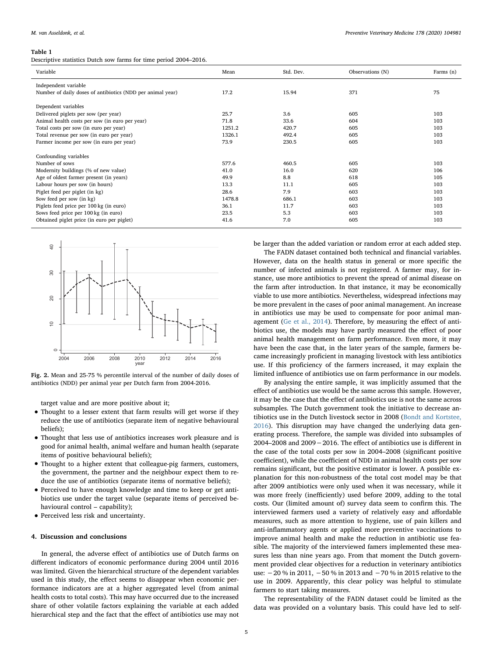#### <span id="page-4-0"></span>Table 1

Descriptive statistics Dutch sow farms for time period 2004–2016.

| Variable                                                   | Mean   | Std. Dev. | Observations (N) | Farms $(n)$ |
|------------------------------------------------------------|--------|-----------|------------------|-------------|
| Independent variable                                       |        |           |                  |             |
| Number of daily doses of antibiotics (NDD per animal year) | 17.2   | 15.94     | 371              | 75          |
| Dependent variables                                        |        |           |                  |             |
| Delivered piglets per sow (per year)                       | 25.7   | 3.6       | 605              | 103         |
| Animal health costs per sow (in euro per year)             | 71.8   | 33.6      | 604              | 103         |
| Total costs per sow (in euro per year)                     | 1251.2 | 420.7     | 605              | 103         |
| Total revenue per sow (in euro per year)                   | 1326.1 | 492.4     | 605              | 103         |
| Farmer income per sow (in euro per year)                   | 73.9   | 230.5     | 605              | 103         |
| Confounding variables                                      |        |           |                  |             |
| Number of sows                                             | 577.6  | 460.5     | 605              | 103         |
| Modernity buildings (% of new value)                       | 41.0   | 16.0      | 620              | 106         |
| Age of oldest farmer present (in years)                    | 49.9   | 8.8       | 618              | 105         |
| Labour hours per sow (in hours)                            | 13.3   | 11.1      | 605              | 103         |
| Piglet feed per piglet (in kg)                             | 28.6   | 7.9       | 603              | 103         |
| Sow feed per sow (in kg)                                   | 1478.8 | 686.1     | 603              | 103         |
| Piglets feed price per 100 kg (in euro)                    | 36.1   | 11.7      | 603              | 103         |
| Sows feed price per 100 kg (in euro)                       | 23.5   | 5.3       | 603              | 103         |
| Obtained piglet price (in euro per piglet)                 | 41.6   | 7.0       | 605              | 103         |

<span id="page-4-1"></span>

Fig. 2. Mean and 25-75 % percentile interval of the number of daily doses of antibiotics (NDD) per animal year per Dutch farm from 2004-2016.

target value and are more positive about it;

- Thought to a lesser extent that farm results will get worse if they reduce the use of antibiotics (separate item of negative behavioural beliefs);
- Thought that less use of antibiotics increases work pleasure and is good for animal health, animal welfare and human health (separate items of positive behavioural beliefs);
- Thought to a higher extent that colleague-pig farmers, customers, the government, the partner and the neighbour expect them to reduce the use of antibiotics (separate items of normative beliefs);
- Perceived to have enough knowledge and time to keep or get antibiotics use under the target value (separate items of perceived behavioural control – capability);
- Perceived less risk and uncertainty.

# 4. Discussion and conclusions

In general, the adverse effect of antibiotics use of Dutch farms on different indicators of economic performance during 2004 until 2016 was limited. Given the hierarchical structure of the dependent variables used in this study, the effect seems to disappear when economic performance indicators are at a higher aggregated level (from animal health costs to total costs). This may have occurred due to the increased share of other volatile factors explaining the variable at each added hierarchical step and the fact that the effect of antibiotics use may not be larger than the added variation or random error at each added step.

The FADN dataset contained both technical and financial variables. However, data on the health status in general or more specific the number of infected animals is not registered. A farmer may, for instance, use more antibiotics to prevent the spread of animal disease on the farm after introduction. In that instance, it may be economically viable to use more antibiotics. Nevertheless, widespread infections may be more prevalent in the cases of poor animal management. An increase in antibiotics use may be used to compensate for poor animal management ([Ge et al., 2014](#page-7-9)). Therefore, by measuring the effect of antibiotics use, the models may have partly measured the effect of poor animal health management on farm performance. Even more, it may have been the case that, in the later years of the sample, farmers became increasingly proficient in managing livestock with less antibiotics use. If this proficiency of the farmers increased, it may explain the limited influence of antibiotics use on farm performance in our models.

By analysing the entire sample, it was implicitly assumed that the effect of antibiotics use would be the same across this sample. However, it may be the case that the effect of antibiotics use is not the same across subsamples. The Dutch government took the initiative to decrease antibiotics use in the Dutch livestock sector in 2008 ([Bondt and Kortstee,](#page-6-0) [2016\)](#page-6-0). This disruption may have changed the underlying data generating process. Therefore, the sample was divided into subsamples of 2004–2008 and 2009−2016. The effect of antibiotics use is different in the case of the total costs per sow in 2004–2008 (significant positive coefficient), while the coefficient of NDD in animal health costs per sow remains significant, but the positive estimator is lower. A possible explanation for this non-robustness of the total cost model may be that after 2009 antibiotics were only used when it was necessary, while it was more freely (inefficiently) used before 2009, adding to the total costs. Our (limited amount of) survey data seem to confirm this. The interviewed farmers used a variety of relatively easy and affordable measures, such as more attention to hygiene, use of pain killers and anti-inflammatory agents or applied more preventive vaccinations to improve animal health and make the reduction in antibiotic use feasible. The majority of the interviewed famers implemented these measures less than nine years ago. From that moment the Dutch government provided clear objectives for a reduction in veterinary antibiotics use: −20 % in 2011, −50 % in 2013 and −70 % in 2015 relative to the use in 2009. Apparently, this clear policy was helpful to stimulate farmers to start taking measures.

The representability of the FADN dataset could be limited as the data was provided on a voluntary basis. This could have led to self-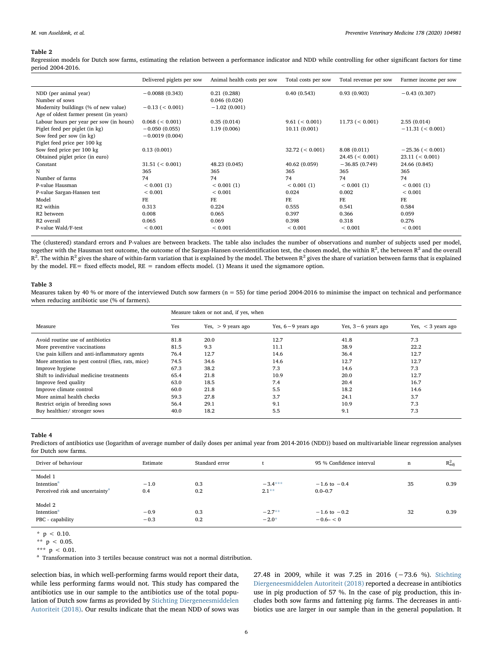#### <span id="page-5-0"></span>Table 2

Regression models for Dutch sow farms, estimating the relation between a performance indicator and NDD while controlling for other significant factors for time period 2004-2016.

|                                                                                 | Delivered piglets per sow | Animal health costs per sow | Total costs per sow | Total revenue per sow | Farmer income per sow |
|---------------------------------------------------------------------------------|---------------------------|-----------------------------|---------------------|-----------------------|-----------------------|
| NDD (per animal year)<br>Number of sows                                         | $-0.0088(0.343)$          | 0.21(0.288)<br>0.046(0.024) | 0.40(0.543)         | 0.93(0.903)           | $-0.43(0.307)$        |
| Modernity buildings (% of new value)<br>Age of oldest farmer present (in years) | $-0.13$ ( < 0.001)        | $-1.02(0.001)$              |                     |                       |                       |
| Labour hours per year per sow (in hours)                                        | 0.068 (< 0.001)           | 0.35(0.014)                 | 9.61 (< 0.001)      | 11.73 (< 0.001)       | 2.55(0.014)           |
| Piglet feed per piglet (in kg)                                                  | $-0.050(0.055)$           | 1.19(0.006)                 | 10.11 (0.001)       |                       | $-11.31 (< 0.001)$    |
| Sow feed per sow (in kg)                                                        | $-0.0019(0.004)$          |                             |                     |                       |                       |
| Piglet feed price per 100 kg                                                    |                           |                             |                     |                       |                       |
| Sow feed price per 100 kg                                                       | 0.13(0.001)               |                             | 32.72 (< 0.001)     | 8.08 (0.011)          | $-25.36 \leq 0.001$   |
| Obtained piglet price (in euro)                                                 |                           |                             |                     | 24.45 (< 0.001)       | 23.11 (< 0.001)       |
| Constant                                                                        | 31.51 (< 0.001)           | 48.23 (0.045)               | 40.62 (0.059)       | $-36.85(0.749)$       | 24.66 (0.845)         |
| N                                                                               | 365                       | 365                         | 365                 | 365                   | 365                   |
| Number of farms                                                                 | 74                        | 74                          | 74                  | 74                    | 74                    |
| P-value Hausman                                                                 | < 0.001(1)                | < 0.001(1)                  | < 0.001(1)          | < 0.001(1)            | < 0.001(1)            |
| P-value Sargan-Hansen test                                                      | ${}< 0.001$               | ${}< 0.001$                 | 0.024               | 0.002                 | ${}< 0.001$           |
| Model                                                                           | <b>FE</b>                 | FE                          | <b>FE</b>           | FE                    | FE                    |
| R <sub>2</sub> within                                                           | 0.313                     | 0.224                       | 0.555               | 0.541                 | 0.584                 |
| R <sub>2</sub> between                                                          | 0.008                     | 0.065                       | 0.397               | 0.366                 | 0.059                 |
| R <sub>2</sub> overall                                                          | 0.065                     | 0.069                       | 0.398               | 0.318                 | 0.276                 |
| P-value Wald/F-test                                                             | ${}< 0.001$               | < 0.001                     | ${}< 0.001$         | ${}< 0.001$           | ${}< 0.001$           |

The (clustered) standard errors and P-values are between brackets. The table also includes the number of observations and number of subjects used per model, together with the Hausman test outcome, the outcome of the Sargan-Hansen overidentification test, the chosen model, the within R<sup>2</sup>, the between R<sup>2</sup> and the overall  $R^2$ . The within  $R^2$  gives the share of within-farm variation that is explained by the model. The between  $R^2$  gives the share of variation between farms that is explained by the model. FE= fixed effects model, RE = random effects model. (1) Means it used the sigmamore option.

# <span id="page-5-1"></span>Table 3

Measures taken by 40 % or more of the interviewed Dutch sow farmers (n = 55) for time period 2004-2016 to minimise the impact on technical and performance when reducing antibiotic use (% of farmers).

|                                                    | Measure taken or not and, if yes, when |                      |                        |                      |                        |  |
|----------------------------------------------------|----------------------------------------|----------------------|------------------------|----------------------|------------------------|--|
| Measure                                            | Yes                                    | Yes, $> 9$ years ago | Yes, $6 - 9$ years ago | Yes, $3-6$ years ago | Yes, $\lt$ 3 years ago |  |
| Avoid routine use of antibiotics                   | 81.8                                   | 20.0                 | 12.7                   | 41.8                 | 7.3                    |  |
| More preventive vaccinations                       | 81.5                                   | 9.3                  | 11.1                   | 38.9                 | 22.2                   |  |
| Use pain killers and anti-inflammatory agents      | 76.4                                   | 12.7                 | 14.6                   | 36.4                 | 12.7                   |  |
| More attention to pest control (flies, rats, mice) | 74.5                                   | 34.6                 | 14.6                   | 12.7                 | 12.7                   |  |
| Improve hygiene                                    | 67.3                                   | 38.2                 | 7.3                    | 14.6                 | 7.3                    |  |
| Shift to individual medicine treatments            | 65.4                                   | 21.8                 | 10.9                   | 20.0                 | 12.7                   |  |
| Improve feed quality                               | 63.0                                   | 18.5                 | 7.4                    | 20.4                 | 16.7                   |  |
| Improve climate control                            | 60.0                                   | 21.8                 | 5.5                    | 18.2                 | 14.6                   |  |
| More animal health checks                          | 59.3                                   | 27.8                 | 3.7                    | 24.1                 | 3.7                    |  |
| Restrict origin of breeding sows                   | 56.4                                   | 29.1                 | 9.1                    | 10.9                 | 7.3                    |  |
| Buy healthier/ stronger sows                       | 40.0                                   | 18.2                 | 5.5                    | 9.1                  | 7.3                    |  |

## <span id="page-5-2"></span>Table 4

Predictors of antibiotics use (logarithm of average number of daily doses per animal year from 2014-2016 (NDD)) based on multivariable linear regression analyses for Dutch sow farms.

| Driver of behaviour                                                              | Estimate         | Standard error |                       | 95 % Confidence interval         | n  | $R_{\rm adi}^2$ |
|----------------------------------------------------------------------------------|------------------|----------------|-----------------------|----------------------------------|----|-----------------|
| Model 1<br>Intention <sup>a</sup><br>Perceived risk and uncertainty <sup>a</sup> | $-1.0$<br>0.4    | 0.3<br>0.2     | $-3.4***$<br>$2.1***$ | $-1.6$ to $-0.4$<br>$0.0 - 0.7$  | 35 | 0.39            |
| Model 2<br>Intention <sup>a</sup><br>PBC - capability                            | $-0.9$<br>$-0.3$ | 0.3<br>0.2     | $-2.7**$<br>$-2.0*$   | $-1.6$ to $-0.2$<br>$-0.6 - < 0$ | 32 | 0.39            |

<span id="page-5-6"></span> $*$  p < 0.10.

<span id="page-5-5"></span>\*\*  $p$  < 0.05.

<span id="page-5-4"></span>\*\*\*  $p$  < 0.01.

<span id="page-5-3"></span><sup>a</sup> Transformation into 3 tertiles because construct was not a normal distribution.

selection bias, in which well-performing farms would report their data, while less performing farms would not. This study has compared the antibiotics use in our sample to the antibiotics use of the total population of Dutch sow farms as provided by [Stichting Diergeneesmiddelen](#page-7-30) [Autoriteit \(2018\)](#page-7-30). Our results indicate that the mean NDD of sows was

27.48 in 2009, while it was 7.25 in 2016 (−73.6 %). [Stichting](#page-7-30) [Diergeneesmiddelen Autoriteit \(2018\)](#page-7-30) reported a decrease in antibiotics use in pig production of 57 %. In the case of pig production, this includes both sow farms and fattening pig farms. The decreases in antibiotics use are larger in our sample than in the general population. It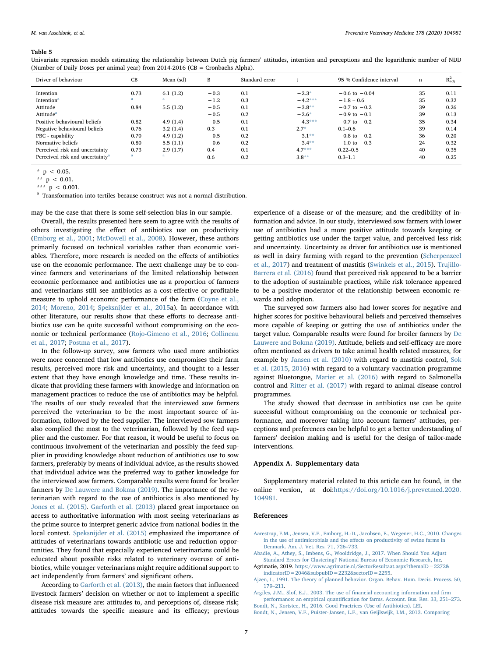#### <span id="page-6-7"></span>Table 5

Driver of behaviour CB Mean (sd) B Standard error t 95 % Confidence interval n R<sup>2</sup>  $R_{\rm adj}^2$ Intention 0.73 6.1 (1.2) −0.3 0.1 −2.3[\\*](#page-6-8) −0.6 to −0.04 35 0.11 Intention<sup>a</sup> [a a](#page-6-9) [a](#page-6-9) −1.2 0.3 −4.2[\\*\\*\\*](#page-6-10) −1.8 – 0.6 35 0.32 Attitude 0.84 5.5 (1.2) −0.5 0.1 −3.8[\\*\\*](#page-6-11) −0.7 to −0.2 39 0.26  $\text{Attitude}^{\text{a}}$  $\text{Attitude}^{\text{a}}$  $\text{Attitude}^{\text{a}}$   $\text{Attitude}^{\text{a}}$   $\text{B}}$   $\text{C}$   $\text{D}$   $\text{D}$   $\text{Attitude}^{\text{a}}$   $\text{Att value}^{\text{a}}$   $\text{Att value}^{\text{a}}$   $\text{Att value}^{\text{a}}$   $\text{Att value}^{\text{a}}$   $\text{Att value}^{\text{a}}$   $\text{Att value}^{\text{a}}$   $\text{Att value}^{\text{a}}$   $\text{Att value}^{\text{a}}$   $\text{Att value}^{\text{a}}$ Positive behavioural beliefs 0.82 4.9 (1.4) −0.5 0.1 −4.3[\\*\\*\\*](#page-6-10) −0.7 to −0.2 35 0.34 Negative behavioural beliefs 0.76 3.2 (1.4) 0.3 0.1 2.7<sup>\*</sup> 0.1–0.6 39 0.14<br>PBC - capability 0.70 4.9 (1.2) - 0.5 0.2 - 3.1<sup>\*\*</sup> - 0.8 to - 0.2 36 0.20 PBC - capability 0.70 4.9 (1.2) −0.5 0.2 −3.1[\\*\\*](#page-6-11) −0.8 to −0.2 36 0.20 Normative beliefs 6.80 5.5 (1.1) − 0.6 0.2 − 3.4<sup>[\\*\\*](#page-6-11)</sup> − 1.0 to −0.3 24 0.32  $\frac{1}{2}$  Perceived risk and uncertainty  $\frac{1}{2}$   $\frac{2.9}{1.7}$   $\frac{1}{2}$   $\frac{1}{2}$   $\frac{1}{2}$   $\frac{1}{2}$   $\frac{1}{2}$   $\frac{1}{2}$   $\frac{1}{2}$   $\frac{1}{2}$   $\frac{1}{2}$   $\frac{1}{2}$   $\frac{1}{2}$   $\frac{1}{2}$   $\frac{1}{2}$   $\frac{1}{2}$   $\frac{1}{2}$   $\frac{1}{$ Perceived risk and uncertainty<sup>a a</sup>  $2.8$ <sup>a</sup> 0.6 0.2

Univariate regression models estimating the relationship between Dutch pig farmers' attitudes, intention and perceptions and the logarithmic number of NDD (Number of Daily Doses per animal year) from 2014-2016 (CB = Cronbachs Alpha).

<span id="page-6-8"></span> $p < 0.05$ .

<span id="page-6-11"></span>\*\*  $p < 0.01$ .

<span id="page-6-10"></span>\*\*\*  $p$  < 0.001.

<span id="page-6-9"></span><sup>a</sup> Transformation into tertiles because construct was not a normal distribution.

may be the case that there is some self-selection bias in our sample.

Overall, the results presented here seem to agree with the results of others investigating the effect of antibiotics use on productivity ([Emborg et al., 2001;](#page-7-7) [McDowell et al., 2008](#page-7-8)). However, these authors primarily focused on technical variables rather than economic variables. Therefore, more research is needed on the effects of antibiotics use on the economic performance. The next challenge may be to convince farmers and veterinarians of the limited relationship between economic performance and antibiotics use as a proportion of farmers and veterinarians still see antibiotics as a cost-effective or profitable measure to uphold economic performance of the farm [\(Coyne et al.,](#page-7-4) [2014;](#page-7-4) [Moreno, 2014;](#page-7-12) [Speksnijder et al., 2015a](#page-7-5)). In accordance with other literature, our results show that these efforts to decrease antibiotics use can be quite successful without compromising on the economic or technical performance ([Rojo-Gimeno et al., 2016;](#page-7-31) [Collineau](#page-7-32) [et al., 2017](#page-7-32); [Postma et al., 2017](#page-7-33)).

In the follow-up survey, sow farmers who used more antibiotics were more concerned that low antibiotics use compromises their farm results, perceived more risk and uncertainty, and thought to a lesser extent that they have enough knowledge and time. These results indicate that providing these farmers with knowledge and information on management practices to reduce the use of antibiotics may be helpful. The results of our study revealed that the interviewed sow farmers perceived the veterinarian to be the most important source of information, followed by the feed supplier. The interviewed sow farmers also complied the most to the veterinarian, followed by the feed supplier and the customer. For that reason, it would be useful to focus on continuous involvement of the veterinarian and possibly the feed supplier in providing knowledge about reduction of antibiotics use to sow farmers, preferably by means of individual advice, as the results showed that individual advice was the preferred way to gather knowledge for the interviewed sow farmers. Comparable results were found for broiler farmers by [De Lauwere and Bokma \(2019\)](#page-7-34). The importance of the veterinarian with regard to the use of antibiotics is also mentioned by [Jones et al. \(2015\).](#page-7-35) [Garforth et al. \(2013\)](#page-7-36) placed great importance on access to authoritative information with most seeing veterinarians as the prime source to interpret generic advice from national bodies in the local context. [Speksnijder et al. \(2015\)](#page-7-5) emphasized the importance of attitudes of veterinarians towards antibiotic use and reduction opportunities. They found that especially experienced veterinarians could be educated about possible risks related to veterinary overuse of antibiotics, while younger veterinarians might require additional support to act independently from farmers' and significant others.

According to [Garforth et al. \(2013\),](#page-7-36) the main factors that influenced livestock farmers' decision on whether or not to implement a specific disease risk measure are: attitudes to, and perceptions of, disease risk; attitudes towards the specific measure and its efficacy; previous experience of a disease or of the measure; and the credibility of information and advice. In our study, interviewed sow farmers with lower use of antibiotics had a more positive attitude towards keeping or getting antibiotics use under the target value, and perceived less risk and uncertainty. Uncertainty as driver for antibiotics use is mentioned as well in dairy farming with regard to the prevention [\(Scherpenzeel](#page-7-37) et [al., 2017](#page-7-37)) and treatment of mastitis [\(Swinkels et al., 2015](#page-7-38)). [Trujillo-](#page-7-39)[Barrera et al. \(2016\)](#page-7-39) found that perceived risk appeared to be a barrier to the adoption of sustainable practices, while risk tolerance appeared to be a positive moderator of the relationship between economic rewards and adoption.

The surveyed sow farmers also had lower scores for negative and higher scores for positive behavioural beliefs and perceived themselves more capable of keeping or getting the use of antibiotics under the target value. Comparable results were found for broiler farmers by [De](#page-7-34) [Lauwere and Bokma \(2019\)](#page-7-34). Attitude, beliefs and self-efficacy are more often mentioned as drivers to take animal health related measures, for example by [Jansen et al. \(2010\)](#page-7-40) with regard to mastitis control, [Sok](#page-7-41) [et al. \(2015](#page-7-41), [2016\)](#page-7-42) with regard to a voluntary vaccination programme against Bluetongue, [Marier et al. \(2016\)](#page-7-43) with regard to Salmonella control and [Ritter et al. \(2017\)](#page-7-44) with regard to animal disease control programmes.

The study showed that decrease in antibiotics use can be quite successful without compromising on the economic or technical performance, and moreover taking into account farmers' attitudes, perceptions and preferences can be helpful to get a better understanding of farmers' decision making and is useful for the design of tailor-made interventions.

## Appendix A. Supplementary data

Supplementary material related to this article can be found, in the online version, at doi[:https://doi.org/10.1016/j.prevetmed.2020.](https://doi.org/10.1016/j.prevetmed.2020.104981) [104981.](https://doi.org/10.1016/j.prevetmed.2020.104981)

#### References

- <span id="page-6-1"></span>[Aarestrup, F.M., Jensen, V.F., Emborg, H.-D., Jacobsen, E., Wegener, H.C., 2010. Changes](http://refhub.elsevier.com/S0167-5877(19)30624-5/sbref0005) in the use of antimicrobials and the eff[ects on productivity of swine farms in](http://refhub.elsevier.com/S0167-5877(19)30624-5/sbref0005) [Denmark. Am. J. Vet. Res. 71, 726](http://refhub.elsevier.com/S0167-5877(19)30624-5/sbref0005)–733.
- <span id="page-6-5"></span>[Abadie, A., Athey, S., Imbens, G., Wooldridge, J., 2017. When Should You Adjust](http://refhub.elsevier.com/S0167-5877(19)30624-5/sbref0010) [Standard Errors for Clustering? National Bureau of Economic Research, Inc](http://refhub.elsevier.com/S0167-5877(19)30624-5/sbref0010).
- <span id="page-6-2"></span>Agrimatie, 2019. [https://www.agrimatie.nl/SectorResultaat.aspx?themaID=2272&](https://www.agrimatie.nl/SectorResultaat.aspx?themaID=2272%26indicatorID=2046%26subpubID=2232%26sectorID=2255)  $indicationID = 2046&subpubID = 2232&sectorID = 2255.$
- <span id="page-6-6"></span>[Ajzen, I., 1991. The theory of planned behavior. Organ. Behav. Hum. Decis. Process. 50,](http://refhub.elsevier.com/S0167-5877(19)30624-5/sbref0020) 179–[211](http://refhub.elsevier.com/S0167-5877(19)30624-5/sbref0020).

<span id="page-6-4"></span>[Argiles, J.M., Slof, E.J., 2003. The use of](http://refhub.elsevier.com/S0167-5877(19)30624-5/sbref0025) financial accounting information and firm performance: an empirical quantifi[cation for farms. Account. Bus. Res. 33, 251](http://refhub.elsevier.com/S0167-5877(19)30624-5/sbref0025)–273.

<span id="page-6-3"></span><span id="page-6-0"></span>[Bondt, N., Kortstee, H., 2016. Good Practrices \(Use of Antibiotics\). LEI.](http://refhub.elsevier.com/S0167-5877(19)30624-5/sbref0030) [Bondt, N., Jensen, V.F., Puister-Jansen, L.F., van Geijlswijk, I.M., 2013. Comparing](http://refhub.elsevier.com/S0167-5877(19)30624-5/sbref0035)